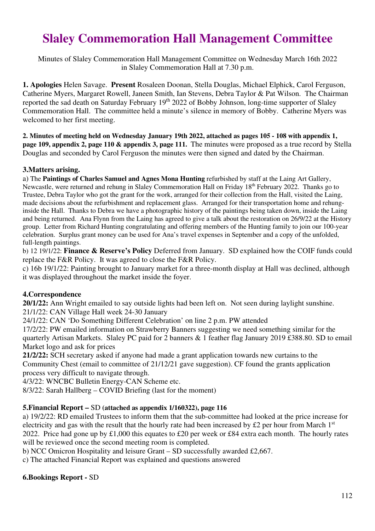# **Slaley Commemoration Hall Management Committee**

Minutes of Slaley Commemoration Hall Management Committee on Wednesday March 16th 2022 in Slaley Commemoration Hall at 7.30 p.m.

**1. Apologies** Helen Savage. **Present** Rosaleen Doonan, Stella Douglas, Michael Elphick, Carol Ferguson, Catherine Myers, Margaret Rowell, Janeen Smith, Ian Stevens, Debra Taylor & Pat Wilson. The Chairman reported the sad death on Saturday February 19<sup>th</sup> 2022 of Bobby Johnson, long-time supporter of Slaley Commemoration Hall. The committee held a minute's silence in memory of Bobby. Catherine Myers was welcomed to her first meeting.

**2. Minutes of meeting held on Wednesday January 19th 2022, attached as pages 105 - 108 with appendix 1, page 109, appendix 2, page 110 & appendix 3, page 111.** The minutes were proposed as a true record by Stella Douglas and seconded by Carol Ferguson the minutes were then signed and dated by the Chairman.

## **3.Matters arising.**

a) The **Paintings of Charles Samuel and Agnes Mona Hunting** refurbished by staff at the Laing Art Gallery, Newcastle, were returned and rehung in Slaley Commemoration Hall on Friday 18<sup>th</sup> February 2022. Thanks go to Trustee, Debra Taylor who got the grant for the work, arranged for their collection from the Hall, visited the Laing, made decisions about the refurbishment and replacement glass. Arranged for their transportation home and rehunginside the Hall. Thanks to Debra we have a photographic history of the paintings being taken down, inside the Laing and being returned. Ana Flynn from the Laing has agreed to give a talk about the restoration on 26/9/22 at the History group. Letter from Richard Hunting congratulating and offering members of the Hunting family to join our 100-year celebration. Surplus grant money can be used for Ana's travel expenses in September and a copy of the unfolded, full-length paintings.

b) 12 19/1/22: **Finance & Reserve's Policy** Deferred from January. SD explained how the COIF funds could replace the F&R Policy. It was agreed to close the F&R Policy.

c) 16b 19/1/22: Painting brought to January market for a three-month display at Hall was declined, although it was displayed throughout the market inside the foyer.

## **4.Correspondence**

**20/1/22:** Ann Wright emailed to say outside lights had been left on. Not seen during laylight sunshine. 21/1/22: CAN Village Hall week 24-30 January

24/1/22: CAN 'Do Something Different Celebration' on line 2 p.m. PW attended

17/2/22: PW emailed information on Strawberry Banners suggesting we need something similar for the quarterly Artisan Markets. Slaley PC paid for 2 banners & 1 feather flag January 2019 £388.80. SD to email Market logo and ask for prices

**21/2/22:** SCH secretary asked if anyone had made a grant application towards new curtains to the Community Chest (email to committee of 21/12/21 gave suggestion). CF found the grants application process very difficult to navigate through.

4/3/22: WNCBC Bulletin Energy-CAN Scheme etc.

8/3/22: Sarah Hallberg – COVID Briefing (last for the moment)

### **5.Financial Report –** SD **(attached as appendix 1/160322), page 116**

a) 19/2/22: RD emailed Trustees to inform them that the sub-committee had looked at the price increase for electricity and gas with the result that the hourly rate had been increased by £2 per hour from March  $1<sup>st</sup>$ 2022. Price had gone up by £1,000 this equates to £20 per week or £84 extra each month. The hourly rates will be reviewed once the second meeting room is completed.

b) NCC Omicron Hospitality and leisure Grant – SD successfully awarded £2,667.

c) The attached Financial Report was explained and questions answered

### **6.Bookings Report -** SD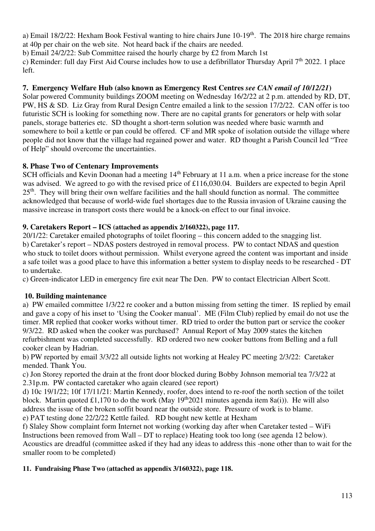a) Email  $18/2/22$ : Hexham Book Festival wanting to hire chairs June  $10-19<sup>th</sup>$ . The 2018 hire charge remains at 40p per chair on the web site. Not heard back if the chairs are needed.

b) Email 24/2/22: Sub Committee raised the hourly charge by £2 from March 1st

c) Reminder: full day First Aid Course includes how to use a defibrillator Thursday April  $7<sup>th</sup> 2022$ . 1 place left.

# **7. Emergency Welfare Hub (also known as Emergency Rest Centres** *see CAN email of 10/12/21***)**

Solar powered Community buildings ZOOM meeting on Wednesday 16/2/22 at 2 p.m. attended by RD, DT, PW, HS & SD. Liz Gray from Rural Design Centre emailed a link to the session 17/2/22. CAN offer is too futuristic SCH is looking for something now. There are no capital grants for generators or help with solar panels, storage batteries etc. SD thought a short-term solution was needed where basic warmth and somewhere to boil a kettle or pan could be offered. CF and MR spoke of isolation outside the village where people did not know that the village had regained power and water. RD thought a Parish Council led "Tree of Help" should overcome the uncertainties.

## **8. Phase Two of Centenary Improvements**

SCH officials and Kevin Doonan had a meeting 14<sup>th</sup> February at 11 a.m. when a price increase for the stone was advised. We agreed to go with the revised price of £116,030.04. Builders are expected to begin April  $25<sup>th</sup>$ . They will bring their own welfare facilities and the hall should function as normal. The committee acknowledged that because of world-wide fuel shortages due to the Russia invasion of Ukraine causing the massive increase in transport costs there would be a knock-on effect to our final invoice.

## **9. Caretakers Report – ICS (attached as appendix 2/160322), page 117.**

20/1/22: Caretaker emailed photographs of toilet flooring – this concern added to the snagging list. b) Caretaker's report – NDAS posters destroyed in removal process. PW to contact NDAS and question who stuck to toilet doors without permission. Whilst everyone agreed the content was important and inside a safe toilet was a good place to have this information a better system to display needs to be researched - DT to undertake.

c) Green-indicator LED in emergency fire exit near The Den. PW to contact Electrician Albert Scott.

## **10. Building maintenance**

a) PW emailed committee 1/3/22 re cooker and a button missing from setting the timer. IS replied by email and gave a copy of his inset to 'Using the Cooker manual'. ME (Film Club) replied by email do not use the timer. MR replied that cooker works without timer. RD tried to order the button part or service the cooker 9/3/22. RD asked when the cooker was purchased? Annual Report of May 2009 states the kitchen refurbishment was completed successfully. RD ordered two new cooker buttons from Belling and a full cooker clean by Hadrian.

b) PW reported by email 3/3/22 all outside lights not working at Healey PC meeting 2/3/22: Caretaker mended. Thank You.

c) Jon Storey reported the drain at the front door blocked during Bobby Johnson memorial tea 7/3/22 at 2.31p.m. PW contacted caretaker who again cleared (see report)

d) 10c 19/1/22; 10f 17/11/21: Martin Kennedy, roofer, does intend to re-roof the north section of the toilet block. Martin quoted £1,170 to do the work (May 19<sup>th</sup>2021 minutes agenda item 8a(i)). He will also address the issue of the broken soffit board near the outside store. Pressure of work is to blame. e) PAT testing done 22/2/22 Kettle failed. RD bought new kettle at Hexham

f) Slaley Show complaint form Internet not working (working day after when Caretaker tested – WiFi Instructions been removed from Wall – DT to replace) Heating took too long (see agenda 12 below). Acoustics are dreadful (committee asked if they had any ideas to address this -none other than to wait for the smaller room to be completed)

## **11. Fundraising Phase Two (attached as appendix 3/160322), page 118.**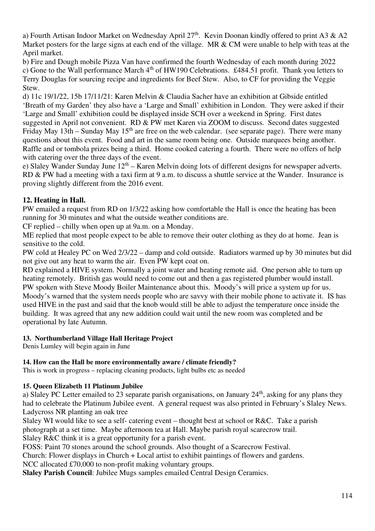a) Fourth Artisan Indoor Market on Wednesday April 27<sup>th</sup>. Kevin Doonan kindly offered to print A3 & A2 Market posters for the large signs at each end of the village. MR & CM were unable to help with teas at the April market.

b) Fire and Dough mobile Pizza Van have confirmed the fourth Wednesday of each month during 2022 c) Gone to the Wall performance March 4<sup>th</sup> of HW190 Celebrations. £484.51 profit. Thank you letters to Terry Douglas for sourcing recipe and ingredients for Beef Stew. Also, to CF for providing the Veggie Stew.

d) 11c 19/1/22, 15b 17/11/21: Karen Melvin & Claudia Sacher have an exhibition at Gibside entitled 'Breath of my Garden' they also have a 'Large and Small' exhibition in London. They were asked if their 'Large and Small' exhibition could be displayed inside SCH over a weekend in Spring. First dates suggested in April not convenient. RD & PW met Karen via ZOOM to discuss. Second dates suggested Friday May 13th – Sunday May  $15<sup>th</sup>$  are free on the web calendar. (see separate page). There were many questions about this event. Food and art in the same room being one. Outside marquees being another. Raffle and or tombola prizes being a third. Home cooked catering a fourth. There were no offers of help with catering over the three days of the event.

e) Slaley Wander Sunday June  $12<sup>th</sup> -$  Karen Melvin doing lots of different designs for newspaper adverts. RD & PW had a meeting with a taxi firm at 9 a.m. to discuss a shuttle service at the Wander. Insurance is proving slightly different from the 2016 event.

## **12. Heating in Hall.**

PW emailed a request from RD on 1/3/22 asking how comfortable the Hall is once the heating has been running for 30 minutes and what the outside weather conditions are.

CF replied – chilly when open up at 9a.m. on a Monday.

ME replied that most people expect to be able to remove their outer clothing as they do at home. Jean is sensitive to the cold.

PW cold at Healey PC on Wed 2/3/22 – damp and cold outside. Radiators warmed up by 30 minutes but did not give out any heat to warm the air. Even PW kept coat on.

RD explained a HIVE system. Normally a joint water and heating remote aid. One person able to turn up heating remotely. British gas would need to come out and then a gas registered plumber would install. PW spoken with Steve Moody Boiler Maintenance about this. Moody's will price a system up for us. Moody's warned that the system needs people who are savvy with their mobile phone to activate it. IS has used HIVE in the past and said that the knob would still be able to adjust the temperature once inside the building. It was agreed that any new addition could wait until the new room was completed and be operational by late Autumn.

### **13. Northumberland Village Hall Heritage Project**

Denis Lumley will begin again in June

### **14. How can the Hall be more environmentally aware / climate friendly?**

This is work in progress – replacing cleaning products, light bulbs etc as needed

### **15. Queen Elizabeth 11 Platinum Jubilee**

a) Slaley PC Letter emailed to 23 separate parish organisations, on January 24<sup>th</sup>, asking for any plans they had to celebrate the Platinum Jubilee event. A general request was also printed in February's Slaley News. Ladycross NR planting an oak tree

Slaley WI would like to see a self- catering event – thought best at school or R&C. Take a parish photograph at a set time. Maybe afternoon tea at Hall. Maybe parish royal scarecrow trail.

Slaley R&C think it is a great opportunity for a parish event.

FOSS: Paint 70 stones around the school grounds. Also thought of a Scarecrow Festival.

Church: Flower displays in Church + Local artist to exhibit paintings of flowers and gardens.

NCC allocated £70,000 to non-profit making voluntary groups.

**Slaley Parish Council**: Jubilee Mugs samples emailed Central Design Ceramics.